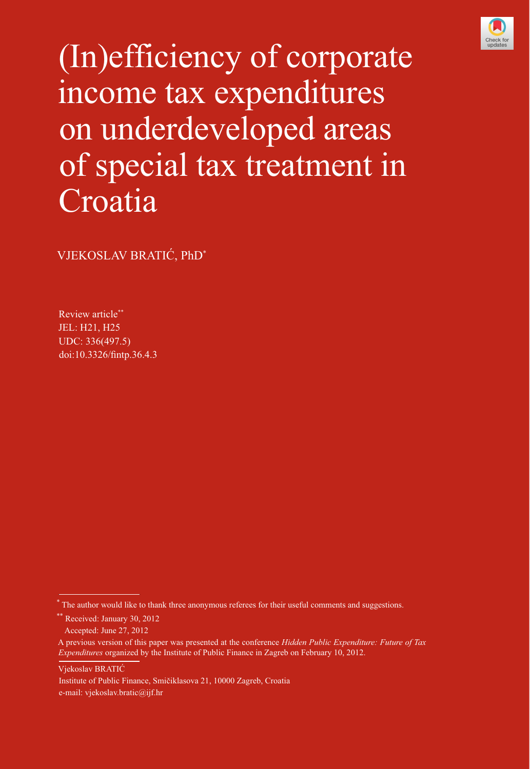

[373](http://crossmark.crossref.org/dialog/?doi=10.3326/fintp.36.4.3&domain=pdf&date_stamp=2016-04-13) (In)efficiency of corporate income tax expenditures on underdeveloped areas of special tax treatment in Croatia

VJEKOSLAV BRATIĆ, PhD\*

Review article\*\* JEL: H21, H25 UDC: 336(497.5) doi:10.3326/fintp.36.4.3

Vjekoslav BRATIĆ

Institute of Public Finance, Smičiklasova 21, 10000 Zagreb, Croatia e-mail: vjekoslav.bratic@ijf.hr

<sup>\*</sup> The author would like to thank three anonymous referees for their useful comments and suggestions.

<sup>\*\*</sup> Received: January 30, 2012

Accepted: June 27, 2012

A previous version of this paper was presented at the conference *Hidden Public Expenditure: Future of Tax Expenditures* organized by the Institute of Public Finance in Zagreb on February 10, 2012.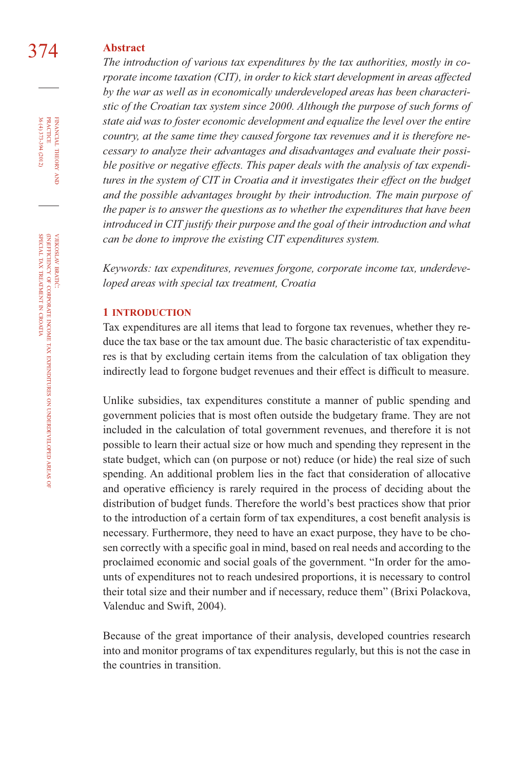## 374 **Abstract**

*The introduction of various tax expenditures by the tax authorities, mostly in corporate income taxation (CIT), in order to kick start development in areas affected by the war as well as in economically underdeveloped areas has been characteristic of the Croatian tax system since 2000. Although the purpose of such forms of state aid was to foster economic development and equalize the level over the entire country, at the same time they caused forgone tax revenues and it is therefore necessary to analyze their advantages and disadvantages and evaluate their possible positive or negative effects. This paper deals with the analysis of tax expenditures in the system of CIT in Croatia and it investigates their effect on the budget and the possible advantages brought by their introduction. The main purpose of the paper is to answer the questions as to whether the expenditures that have been introduced in CIT justify their purpose and the goal of their introduction and what can be done to improve the existing CIT expenditures system.*

*Keywords: tax expenditures, revenues forgone, corporate income tax, underdeveloped areas with special tax treatment, Croatia*

#### **1 INTRODUCTION**

Tax expenditures are all items that lead to forgone tax revenues, whether they reduce the tax base or the tax amount due. The basic characteristic of tax expenditures is that by excluding certain items from the calculation of tax obligation they indirectly lead to forgone budget revenues and their effect is difficult to measure.

Unlike subsidies, tax expenditures constitute a manner of public spending and government policies that is most often outside the budgetary frame. They are not included in the calculation of total government revenues, and therefore it is not possible to learn their actual size or how much and spending they represent in the state budget, which can (on purpose or not) reduce (or hide) the real size of such spending. An additional problem lies in the fact that consideration of allocative and operative efficiency is rarely required in the process of deciding about the distribution of budget funds. Therefore the world's best practices show that prior to the introduction of a certain form of tax expenditures, a cost benefit analysis is necessary. Furthermore, they need to have an exact purpose, they have to be chosen correctly with a specific goal in mind, based on real needs and according to the proclaimed economic and social goals of the government. "In order for the amounts of expenditures not to reach undesired proportions, it is necessary to control their total size and their number and if necessary, reduce them" (Brixi Polackova, Valenduc and Swift, 2004).

Because of the great importance of their analysis, developed countries research into and monitor programs of tax expenditures regularly, but this is not the case in the countries in transition.

FINANCIAL THEORY AND PRACTICE 36 (4) 373-394 (2012) 36 (4) 373-394 (2012) PRACTICE FINANCIAL THEORY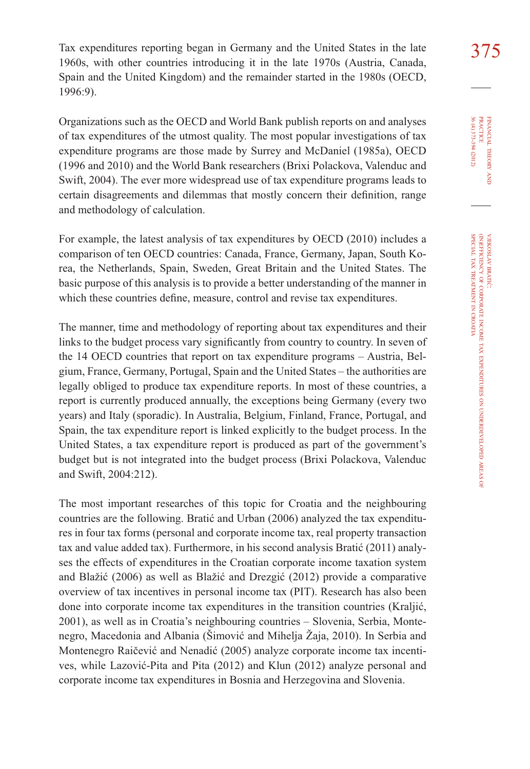Tax expenditures reporting began in Germany and the United States in the late 375 1960s, with other countries introducing it in the late 1970s (Austria, Canada, Spain and the United Kingdom) and the remainder started in the 1980s (OECD, 1996:9).

Organizations such as the OECD and World Bank publish reports on and analyses of tax expenditures of the utmost quality. The most popular investigations of tax expenditure programs are those made by Surrey and McDaniel (1985a), OECD (1996 and 2010) and the World Bank researchers (Brixi Polackova, Valenduc and Swift, 2004). The ever more widespread use of tax expenditure programs leads to certain disagreements and dilemmas that mostly concern their definition, range and methodology of calculation.

For example, the latest analysis of tax expenditures by OECD (2010) includes a comparison of ten OECD countries: Canada, France, Germany, Japan, South Korea, the Netherlands, Spain, Sweden, Great Britain and the United States. The basic purpose of this analysis is to provide a better understanding of the manner in which these countries define, measure, control and revise tax expenditures.

The manner, time and methodology of reporting about tax expenditures and their links to the budget process vary significantly from country to country. In seven of the 14 OECD countries that report on tax expenditure programs – Austria, Belgium, France, Germany, Portugal, Spain and the United States – the authorities are legally obliged to produce tax expenditure reports. In most of these countries, a report is currently produced annually, the exceptions being Germany (every two years) and Italy (sporadic). In Australia, Belgium, Finland, France, Portugal, and Spain, the tax expenditure report is linked explicitly to the budget process. In the United States, a tax expenditure report is produced as part of the government's budget but is not integrated into the budget process (Brixi Polackova, Valenduc and Swift, 2004:212).

The most important researches of this topic for Croatia and the neighbouring countries are the following. Bratić and Urban (2006) analyzed the tax expenditures in four tax forms (personal and corporate income tax, real property transaction tax and value added tax). Furthermore, in his second analysis Bratić (2011) analyses the effects of expenditures in the Croatian corporate income taxation system and Blažić (2006) as well as Blažić and Drezgić (2012) provide a comparative overview of tax incentives in personal income tax (PIT). Research has also been done into corporate income tax expenditures in the transition countries (Kraljić, 2001), as well as in Croatia's neighbouring countries – Slovenia, Serbia, Montenegro, Macedonia and Albania (Šimović and Mihelja Žaja, 2010). In Serbia and Montenegro Raičević and Nenadić (2005) analyze corporate income tax incentives, while Lazović-Pita and Pita (2012) and Klun (2012) analyze personal and corporate income tax expenditures in Bosnia and Herzegovina and Slovenia.

FINANCIAL THEORY FINANCIAL THEORY AND RRACTICE<br>PRACTICE<br>36 (4) 373-394 (2012) 36 (4) 373-394 (2012) PRACTICE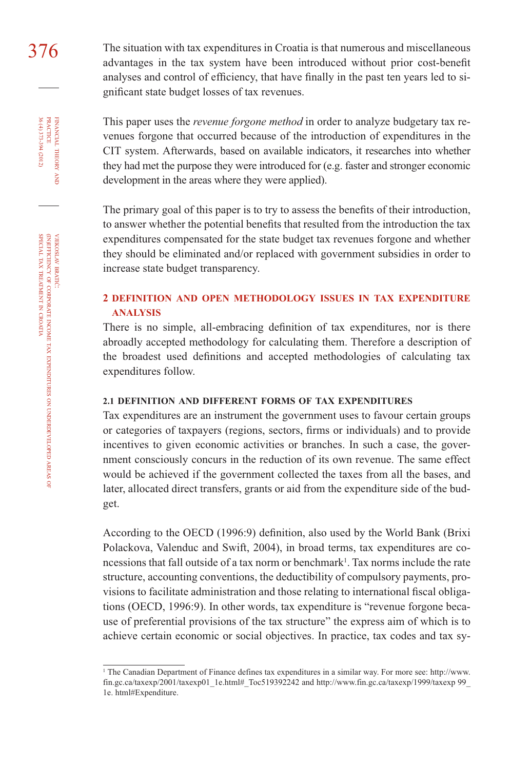376 The situation with tax expenditures in Croatia is that numerous and miscellaneous advantages in the tax system have been introduced without prior cost-benefit analyses and control of efficiency, that have finally in the past ten years led to significant state budget losses of tax revenues.

> This paper uses the *revenue forgone method* in order to analyze budgetary tax revenues forgone that occurred because of the introduction of expenditures in the CIT system. Afterwards, based on available indicators, it researches into whether they had met the purpose they were introduced for (e.g. faster and stronger economic development in the areas where they were applied).

> The primary goal of this paper is to try to assess the benefits of their introduction, to answer whether the potential benefits that resulted from the introduction the tax expenditures compensated for the state budget tax revenues forgone and whether they should be eliminated and/or replaced with government subsidies in order to increase state budget transparency.

### **2 DEFINITION AND OPEN METHODOLOGY ISSUES IN TAX EXPENDITURE ANALYSIS**

There is no simple, all-embracing definition of tax expenditures, nor is there abroadly accepted methodology for calculating them. Therefore a description of the broadest used definitions and accepted methodologies of calculating tax expenditures follow.

#### **2.1 DEFINITION AND DIFFERENT FORMS OF TAX EXPENDITURES**

Tax expenditures are an instrument the government uses to favour certain groups or categories of taxpayers (regions, sectors, firms or individuals) and to provide incentives to given economic activities or branches. In such a case, the government consciously concurs in the reduction of its own revenue. The same effect would be achieved if the government collected the taxes from all the bases, and later, allocated direct transfers, grants or aid from the expenditure side of the budget.

According to the OECD (1996:9) definition, also used by the World Bank (Brixi Polackova, Valenduc and Swift, 2004), in broad terms, tax expenditures are concessions that fall outside of a tax norm or benchmark<sup>1</sup>. Tax norms include the rate structure, accounting conventions, the deductibility of compulsory payments, provisions to facilitate administration and those relating to international fiscal obligations (OECD, 1996:9). In other words, tax expenditure is "revenue forgone because of preferential provisions of the tax structure" the express aim of which is to achieve certain economic or social objectives. In practice, tax codes and tax sy-

FINANCIAL

FINANCIAL THEORY<br>PRACTICE 36 (4) 373-394 (2012)

36 (4) 373-394 (2012) PRACTICE

THEORY AND

<sup>1</sup> The Canadian Department of Finance defines tax expenditures in a similar way. For more see: http://www. fin.gc.ca/taxexp/2001/taxexp01\_1e.html#\_Toc519392242 and http://www.fin.gc.ca/taxexp/1999/taxexp 99\_ 1e. html#Expenditure.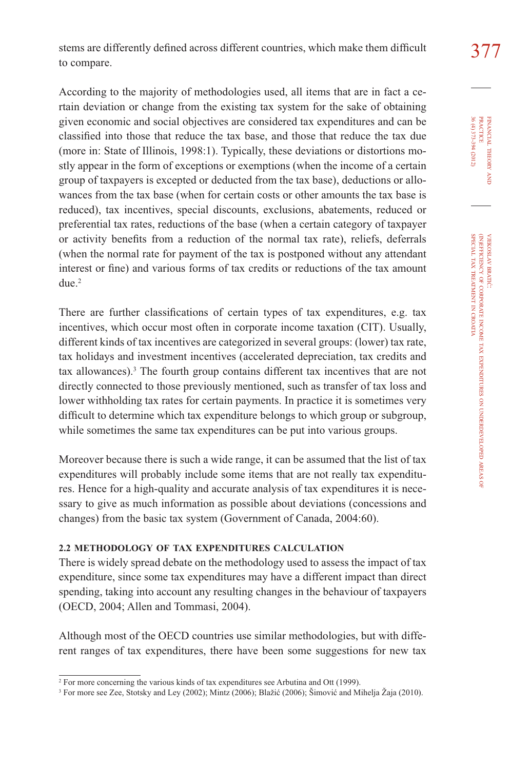According to the majority of methodologies used, all items that are in fact a certain deviation or change from the existing tax system for the sake of obtaining given economic and social objectives are considered tax expenditures and can be classified into those that reduce the tax base, and those that reduce the tax due (more in: State of Illinois, 1998:1). Typically, these deviations or distortions mostly appear in the form of exceptions or exemptions (when the income of a certain group of taxpayers is excepted or deducted from the tax base), deductions or allowances from the tax base (when for certain costs or other amounts the tax base is reduced), tax incentives, special discounts, exclusions, abatements, reduced or preferential tax rates, reductions of the base (when a certain category of taxpayer or activity benefits from a reduction of the normal tax rate), reliefs, deferrals (when the normal rate for payment of the tax is postponed without any attendant interest or fine) and various forms of tax credits or reductions of the tax amount due<sup>2</sup>

There are further classifications of certain types of tax expenditures, e.g. tax incentives, which occur most often in corporate income taxation (CIT). Usually, different kinds of tax incentives are categorized in several groups: (lower) tax rate, tax holidays and investment incentives (accelerated depreciation, tax credits and tax allowances).<sup>3</sup> The fourth group contains different tax incentives that are not directly connected to those previously mentioned, such as transfer of tax loss and lower withholding tax rates for certain payments. In practice it is sometimes very difficult to determine which tax expenditure belongs to which group or subgroup, while sometimes the same tax expenditures can be put into various groups.

Moreover because there is such a wide range, it can be assumed that the list of tax expenditures will probably include some items that are not really tax expenditures. Hence for a high-quality and accurate analysis of tax expenditures it is necessary to give as much information as possible about deviations (concessions and changes) from the basic tax system (Government of Canada, 2004:60).

### **2.2 METHODOLOGY OF TAX EXPENDITURES CALCULATION**

There is widely spread debate on the methodology used to assess the impact of tax expenditure, since some tax expenditures may have a different impact than direct spending, taking into account any resulting changes in the behaviour of taxpayers (OECD, 2004; Allen and Tommasi, 2004).

Although most of the OECD countries use similar methodologies, but with different ranges of tax expenditures, there have been some suggestions for new tax

<sup>&</sup>lt;sup>2</sup> For more concerning the various kinds of tax expenditures see Arbutina and Ott (1999).

<sup>3</sup> For more see Zee, Stotsky and Ley (2002); Mintz (2006); Blažić (2006); Šimović and Mihelja Žaja (2010).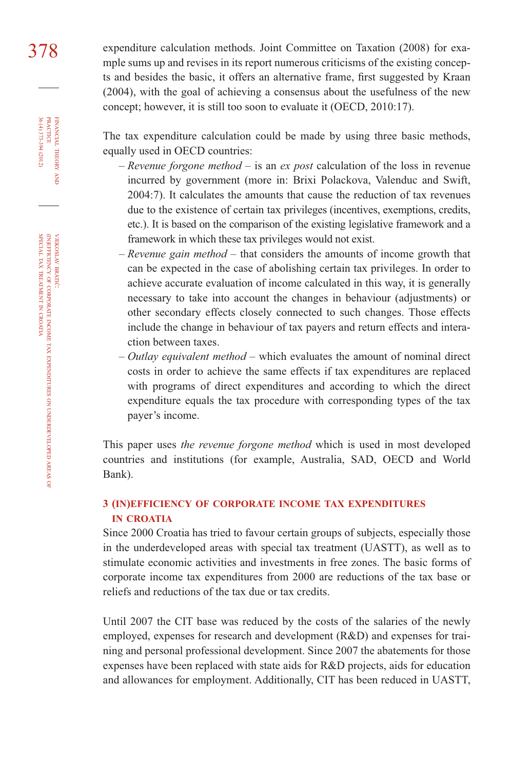378 expenditure calculation methods. Joint Committee on Taxation (2008) for example sums up and revises in its report numerous criticisms of the existing concepts and besides the basic, it offers an alternative frame, first suggested by Kraan (2004), with the goal of achieving a consensus about the usefulness of the new concept; however, it is still too soon to evaluate it (OECD, 2010:17).

> The tax expenditure calculation could be made by using three basic methods, equally used in OECD countries:

- *Revenue forgone method* is an *ex post* calculation of the loss in revenue incurred by government (more in: Brixi Polackova, Valenduc and Swift, 2004:7). It calculates the amounts that cause the reduction of tax revenues due to the existence of certain tax privileges (incentives, exemptions, credits, etc.). It is based on the comparison of the existing legislative framework and a framework in which these tax privileges would not exist.
- *Revenue gain method* that considers the amounts of income growth that can be expected in the case of abolishing certain tax privileges. In order to achieve accurate evaluation of income calculated in this way, it is generally necessary to take into account the changes in behaviour (adjustments) or other secondary effects closely connected to such changes. Those effects include the change in behaviour of tax payers and return effects and interaction between taxes.
- *Outlay equivalent method* which evaluates the amount of nominal direct costs in order to achieve the same effects if tax expenditures are replaced with programs of direct expenditures and according to which the direct expenditure equals the tax procedure with corresponding types of the tax payer's income.

This paper uses *the revenue forgone method* which is used in most developed countries and institutions (for example, Australia, SAD, OECD and World Bank).

## **3 (IN)EFFICIENCY OF CORPORATE INCOME TAX EXPENDITURES IN CROATIA**

Since 2000 Croatia has tried to favour certain groups of subjects, especially those in the underdeveloped areas with special tax treatment (UASTT), as well as to stimulate economic activities and investments in free zones. The basic forms of corporate income tax expenditures from 2000 are reductions of the tax base or reliefs and reductions of the tax due or tax credits.

Until 2007 the CIT base was reduced by the costs of the salaries of the newly employed, expenses for research and development (R&D) and expenses for training and personal professional development. Since 2007 the abatements for those expenses have been replaced with state aids for R&D projects, aids for education and allowances for employment. Additionally, CIT has been reduced in UASTT,

FINANCIAL

36 (4) 373-394 (2012)

THEORY FINANCIAL THEORY AND PRACTICE 36 (4) 373-394 (2012) PRACTICE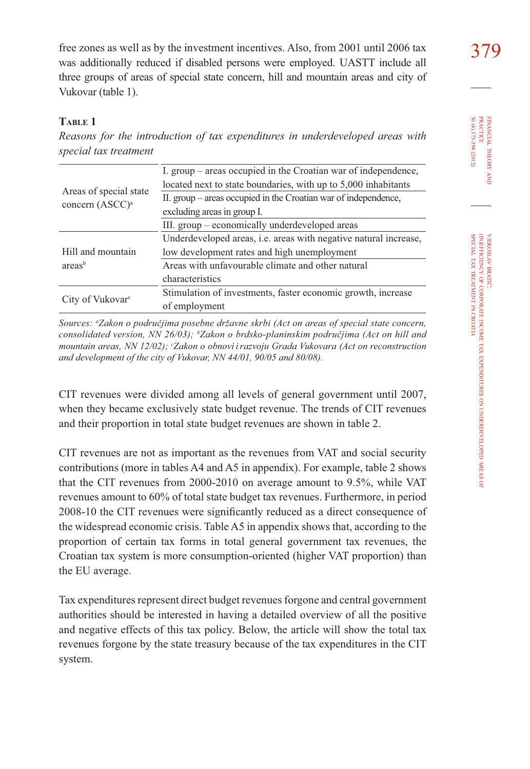free zones as well as by the investment incentives. Also, from 2001 until 2006 tax  $379$ was additionally reduced if disabled persons were employed. UASTT include all three groups of areas of special state concern, hill and mountain areas and city of Vukovar (table 1).

### **TABLE 1**

*Reasons for the introduction of tax expenditures in underdeveloped areas with special tax treatment*

|                              | I. group – areas occupied in the Croatian war of independence,   |
|------------------------------|------------------------------------------------------------------|
|                              | located next to state boundaries, with up to 5,000 inhabitants   |
| Areas of special state       | II. group – areas occupied in the Croatian war of independence,  |
| concern (ASCC) <sup>a</sup>  | excluding areas in group I.                                      |
|                              | III. group – economically underdeveloped areas                   |
|                              | Underdeveloped areas, i.e. areas with negative natural increase, |
| Hill and mountain            | low development rates and high unemployment                      |
| areas <sup>b</sup>           | Areas with unfavourable climate and other natural                |
|                              | characteristics                                                  |
|                              | Stimulation of investments, faster economic growth, increase     |
| City of Vukovar <sup>c</sup> | of employment                                                    |

*Sources: <sup>a</sup> Zakon o područjima posebne državne skrbi (Act on areas of special state concern, consolidated version, NN 26/03); b Zakon o brdsko-planinskim područjima (Act on hill and mountain areas, NN 12/02); c Zakon o obnovi irazvoju Grada Vukovara (Act on reconstruction and development of the city of Vukovar, NN 44/01, 90/05 and 80/08).* 

CIT revenues were divided among all levels of general government until 2007, when they became exclusively state budget revenue. The trends of CIT revenues and their proportion in total state budget revenues are shown in table 2.

CIT revenues are not as important as the revenues from VAT and social security contributions (more in tables A4 and A5 in appendix). For example, table 2 shows that the CIT revenues from 2000-2010 on average amount to 9.5%, while VAT revenues amount to 60% of total state budget tax revenues. Furthermore, in period 2008-10 the CIT revenues were significantly reduced as a direct consequence of the widespread economic crisis. Table A5 in appendix shows that, according to the proportion of certain tax forms in total general government tax revenues, the Croatian tax system is more consumption-oriented (higher VAT proportion) than the EU average.

Tax expenditures represent direct budget revenues forgone and central government authorities should be interested in having a detailed overview of all the positive and negative effects of this tax policy. Below, the article will show the total tax revenues forgone by the state treasury because of the tax expenditures in the CIT system.

FINANCIAL THEORY FINANCIAL THEORY AND PRACTICE<br>PRACTICE<br>36 (4) 373-394 (2012) 36 (4) 373-394 (2012) PRACTICE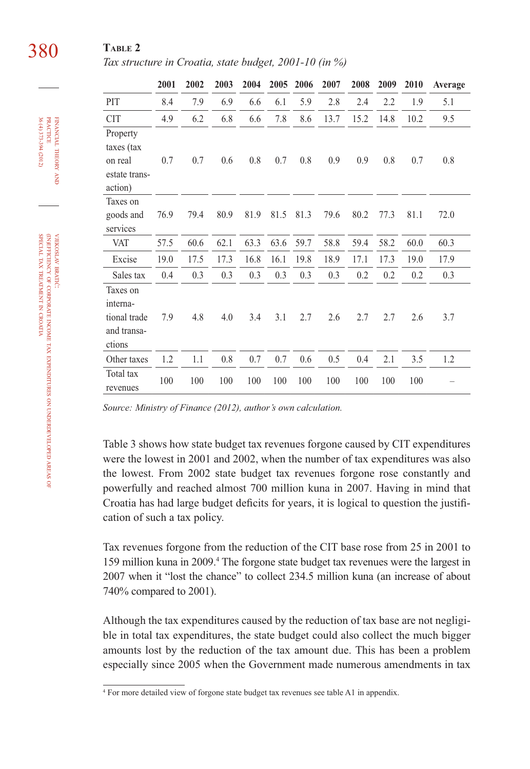# 380 **TABLE 2**

*Tax structure in Croatia, state budget, 2001-10 (in %)*

|                                                               | 2001 | 2002 | 2003 | 2004 | 2005 | 2006 | 2007 | 2008 | 2009 | 2010 | Average |
|---------------------------------------------------------------|------|------|------|------|------|------|------|------|------|------|---------|
| PIT                                                           | 8.4  | 7.9  | 6.9  | 6.6  | 6.1  | 5.9  | 2.8  | 2.4  | 2.2  | 1.9  | 5.1     |
| <b>CIT</b>                                                    | 4.9  | 6.2  | 6.8  | 6.6  | 7.8  | 8.6  | 13.7 | 15.2 | 14.8 | 10.2 | 9.5     |
| Property<br>taxes (tax<br>on real<br>estate trans-<br>action) | 0.7  | 0.7  | 0.6  | 0.8  | 0.7  | 0.8  | 0.9  | 0.9  | 0.8  | 0.7  | 0.8     |
| Taxes on<br>goods and<br>services                             | 76.9 | 79.4 | 80.9 | 81.9 | 81.5 | 81.3 | 79.6 | 80.2 | 77.3 | 81.1 | 72.0    |
| <b>VAT</b>                                                    | 57.5 | 60.6 | 62.1 | 63.3 | 63.6 | 59.7 | 58.8 | 59.4 | 58.2 | 60.0 | 60.3    |
| Excise                                                        | 19.0 | 17.5 | 17.3 | 16.8 | 16.1 | 19.8 | 18.9 | 17.1 | 17.3 | 19.0 | 17.9    |
| Sales tax                                                     | 0.4  | 0.3  | 0.3  | 0.3  | 0.3  | 0.3  | 0.3  | 0.2  | 0.2  | 0.2  | 0.3     |
| Taxes on<br>interna-<br>tional trade<br>and transa-<br>ctions | 7.9  | 4.8  | 4.0  | 3.4  | 3.1  | 2.7  | 2.6  | 2.7  | 2.7  | 2.6  | 3.7     |
| Other taxes                                                   | 1.2  | 1.1  | 0.8  | 0.7  | 0.7  | 0.6  | 0.5  | 0.4  | 2.1  | 3.5  | 1.2     |
| Total tax<br>revenues                                         | 100  | 100  | 100  | 100  | 100  | 100  | 100  | 100  | 100  | 100  |         |

*Source: Ministry of Finance (2012), author's own calculation.*

Table 3 shows how state budget tax revenues forgone caused by CIT expenditures were the lowest in 2001 and 2002, when the number of tax expenditures was also the lowest. From 2002 state budget tax revenues forgone rose constantly and powerfully and reached almost 700 million kuna in 2007. Having in mind that Croatia has had large budget deficits for years, it is logical to question the justification of such a tax policy.

Tax revenues forgone from the reduction of the CIT base rose from 25 in 2001 to 159 million kuna in 2009.<sup>4</sup> The forgone state budget tax revenues were the largest in 2007 when it "lost the chance" to collect 234.5 million kuna (an increase of about 740% compared to 2001).

Although the tax expenditures caused by the reduction of tax base are not negligible in total tax expenditures, the state budget could also collect the much bigger amounts lost by the reduction of the tax amount due. This has been a problem especially since 2005 when the Government made numerous amendments in tax

FINANCIAL

36 (4) 373-394 (2012)

THEORY FINANCIAL THEORY AND PRACTICE 36 (4) 373-394 (2012) PRACTICE

<sup>4</sup> For more detailed view of forgone state budget tax revenues see table A1 in appendix.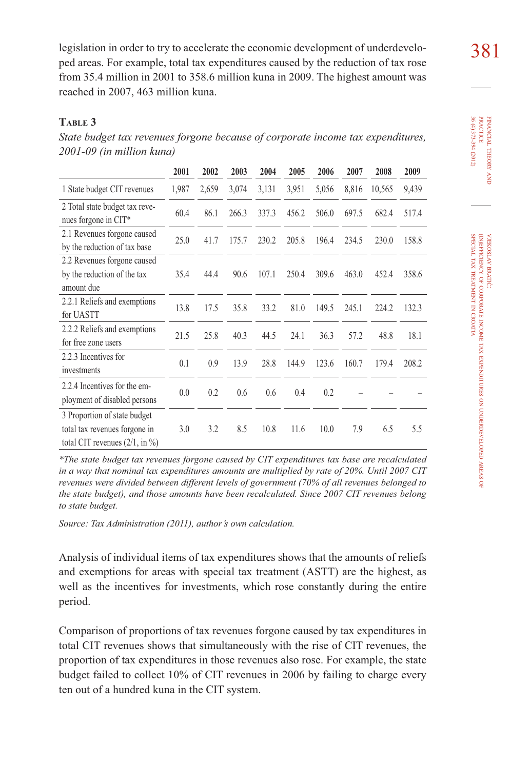legislation in order to try to accelerate the economic development of underdevelo-<br>381 ped areas. For example, total tax expenditures caused by the reduction of tax rose from 35.4 million in 2001 to 358.6 million kuna in 2009. The highest amount was reached in 2007, 463 million kuna.

## **TABLE 3**

*State budget tax revenues forgone because of corporate income tax expenditures, 2001-09 (in million kuna)*

|                                                                                                             | 2001  | 2002  | 2003  | 2004  | 2005  | 2006  | 2007  | 2008   | 2009  |
|-------------------------------------------------------------------------------------------------------------|-------|-------|-------|-------|-------|-------|-------|--------|-------|
| 1 State budget CIT revenues                                                                                 | 1,987 | 2,659 | 3,074 | 3,131 | 3,951 | 5,056 | 8,816 | 10,565 | 9,439 |
| 2 Total state budget tax reve-<br>nues forgone in CIT*                                                      | 60.4  | 86.1  | 266.3 | 337.3 | 456.2 | 506.0 | 697.5 | 682.4  | 517.4 |
| 2.1 Revenues forgone caused<br>by the reduction of tax base                                                 | 25.0  | 41.7  | 175.7 | 230.2 | 205.8 | 196.4 | 234.5 | 230.0  | 158.8 |
| 2.2 Revenues forgone caused<br>by the reduction of the tax<br>amount due                                    | 35.4  | 44.4  | 90.6  | 107.1 | 250.4 | 309.6 | 463.0 | 452.4  | 358.6 |
| 2.2.1 Reliefs and exemptions<br>for UASTT                                                                   | 13.8  | 17.5  | 35.8  | 33.2  | 81.0  | 149.5 | 245.1 | 224.2  | 132.3 |
| 2.2.2 Reliefs and exemptions<br>for free zone users                                                         | 21.5  | 25.8  | 40.3  | 44.5  | 24.1  | 36.3  | 57.2  | 48.8   | 18.1  |
| 2.2.3 Incentives for<br>investments                                                                         | 0.1   | 0.9   | 13.9  | 28.8  | 144.9 | 123.6 | 160.7 | 179.4  | 208.2 |
| 2.2.4 Incentives for the em-<br>ployment of disabled persons                                                | 0.0   | 0.2   | 0.6   | 0.6   | 0.4   | 0.2   |       |        |       |
| 3 Proportion of state budget<br>total tax revenues forgone in<br>total CIT revenues $(2/1, \text{ in } \%)$ | 3.0   | 3.2   | 8.5   | 10.8  | 11.6  | 10.0  | 7.9   | 6.5    | 5.5   |

*\*The state budget tax revenues forgone caused by CIT expenditures tax base are recalculated in a way that nominal tax expenditures amounts are multiplied by rate of 20%. Until 2007 CIT revenues were divided between different levels of government (70% of all revenues belonged to the state budget), and those amounts have been recalculated. Since 2007 CIT revenues belong to state budget.* 

*Source: Tax Administration (2011), author's own calculation.*

Analysis of individual items of tax expenditures shows that the amounts of reliefs and exemptions for areas with special tax treatment (ASTT) are the highest, as well as the incentives for investments, which rose constantly during the entire period.

Comparison of proportions of tax revenues forgone caused by tax expenditures in total CIT revenues shows that simultaneously with the rise of CIT revenues, the proportion of tax expenditures in those revenues also rose. For example, the state budget failed to collect 10% of CIT revenues in 2006 by failing to charge every ten out of a hundred kuna in the CIT system.

PRACTICE<br>36 (4) 373-394 (2012) PRACTICE FINANCIAL 36 (4) 373-394 (2012) FINANCIAL THEORY THEORY AND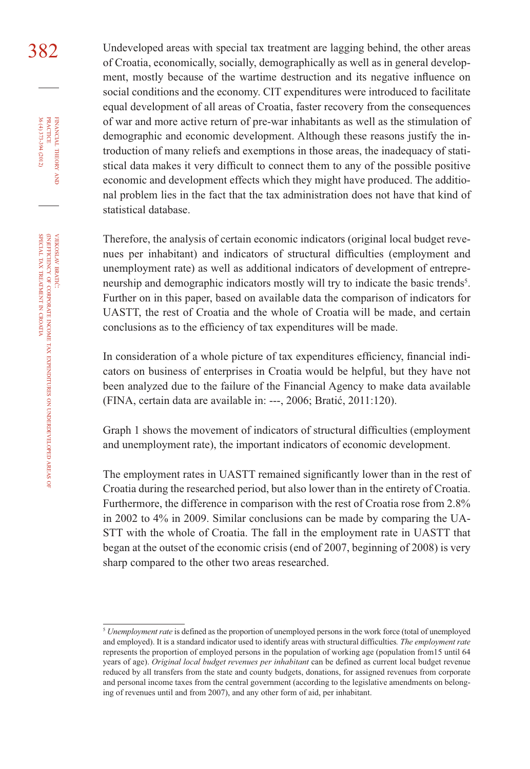382 Undeveloped areas with special tax treatment are lagging behind, the other areas of Croatia, economically, socially, demographically as well as in general development, mostly because of the wartime destruction and its negative influence on social conditions and the economy. CIT expenditures were introduced to facilitate equal development of all areas of Croatia, faster recovery from the consequences of war and more active return of pre-war inhabitants as well as the stimulation of demographic and economic development. Although these reasons justify the introduction of many reliefs and exemptions in those areas, the inadequacy of statistical data makes it very difficult to connect them to any of the possible positive economic and development effects which they might have produced. The additional problem lies in the fact that the tax administration does not have that kind of statistical database.

> Therefore, the analysis of certain economic indicators (original local budget revenues per inhabitant) and indicators of structural difficulties (employment and unemployment rate) as well as additional indicators of development of entrepreneurship and demographic indicators mostly will try to indicate the basic trends<sup>5</sup>. Further on in this paper, based on available data the comparison of indicators for UASTT, the rest of Croatia and the whole of Croatia will be made, and certain conclusions as to the efficiency of tax expenditures will be made.

> In consideration of a whole picture of tax expenditures efficiency, financial indicators on business of enterprises in Croatia would be helpful, but they have not been analyzed due to the failure of the Financial Agency to make data available (FINA, certain data are available in: ---, 2006; Bratić, 2011:120).

> Graph 1 shows the movement of indicators of structural difficulties (employment and unemployment rate), the important indicators of economic development.

> The employment rates in UASTT remained significantly lower than in the rest of Croatia during the researched period, but also lower than in the entirety of Croatia. Furthermore, the difference in comparison with the rest of Croatia rose from 2.8% in 2002 to 4% in 2009. Similar conclusions can be made by comparing the UA-STT with the whole of Croatia. The fall in the employment rate in UASTT that began at the outset of the economic crisis (end of 2007, beginning of 2008) is very sharp compared to the other two areas researched.

FINANCIAL

36 (4) 373-394 (2012)

THEORY FINANCIAL THEORY AND PRACTICE 36 (4) 373-394 (2012) PRACTICE

<sup>&</sup>lt;sup>5</sup> *Unemployment rate* is defined as the proportion of unemployed persons in the work force (total of unemployed and employed). It is a standard indicator used to identify areas with structural difficulties*. The employment rate*  represents the proportion of employed persons in the population of working age (population from15 until 64 years of age). *Original local budget revenues per inhabitant* can be defined as current local budget revenue reduced by all transfers from the state and county budgets, donations, for assigned revenues from corporate and personal income taxes from the central government (according to the legislative amendments on belonging of revenues until and from 2007), and any other form of aid, per inhabitant.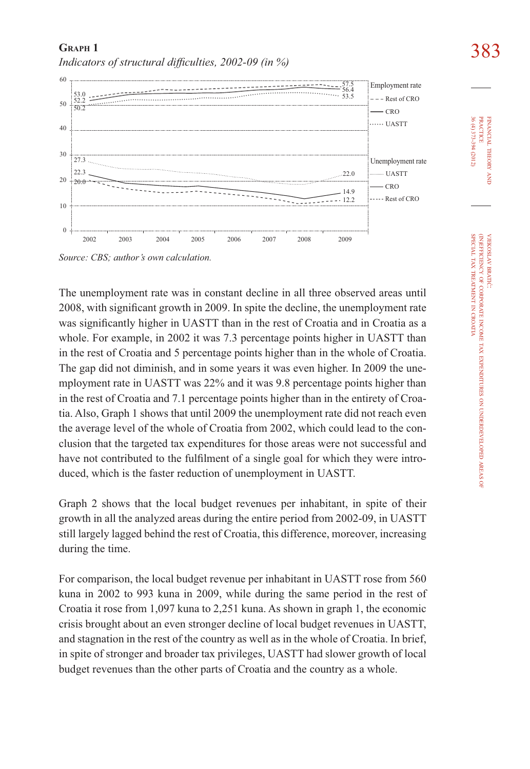*Indicators of structural difficulties, 2002-09 (in %)* 



*Source: CBS; author's own calculation.*

**GRAPH 1**

The unemployment rate was in constant decline in all three observed areas until 2008, with significant growth in 2009. In spite the decline, the unemployment rate was significantly higher in UASTT than in the rest of Croatia and in Croatia as a whole. For example, in 2002 it was 7.3 percentage points higher in UASTT than in the rest of Croatia and 5 percentage points higher than in the whole of Croatia. The gap did not diminish, and in some years it was even higher. In 2009 the unemployment rate in UASTT was 22% and it was 9.8 percentage points higher than in the rest of Croatia and 7.1 percentage points higher than in the entirety of Croatia. Also, Graph 1 shows that until 2009 the unemployment rate did not reach even the average level of the whole of Croatia from 2002, which could lead to the conclusion that the targeted tax expenditures for those areas were not successful and have not contributed to the fulfilment of a single goal for which they were introduced, which is the faster reduction of unemployment in UASTT.

Graph 2 shows that the local budget revenues per inhabitant, in spite of their growth in all the analyzed areas during the entire period from 2002-09, in UASTT still largely lagged behind the rest of Croatia, this difference, moreover, increasing during the time.

For comparison, the local budget revenue per inhabitant in UASTT rose from 560 kuna in 2002 to 993 kuna in 2009, while during the same period in the rest of Croatia it rose from 1,097 kuna to 2,251 kuna. As shown in graph 1, the economic crisis brought about an even stronger decline of local budget revenues in UASTT, and stagnation in the rest of the country as well as in the whole of Croatia. In brief, in spite of stronger and broader tax privileges, UASTT had slower growth of local budget revenues than the other parts of Croatia and the country as a whole.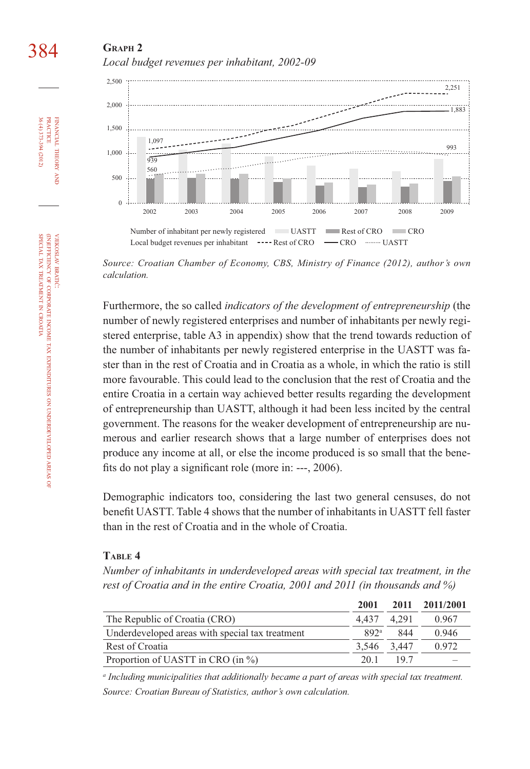# **GRAPH 2** *Local budget revenues per inhabitant, 2002-09*



*Source: Croatian Chamber of Economy, CBS, Ministry of Finance (2012), author's own calculation.*

Furthermore, the so called *indicators of the development of entrepreneurship* (the number of newly registered enterprises and number of inhabitants per newly registered enterprise, table A3 in appendix) show that the trend towards reduction of the number of inhabitants per newly registered enterprise in the UASTT was faster than in the rest of Croatia and in Croatia as a whole, in which the ratio is still more favourable. This could lead to the conclusion that the rest of Croatia and the entire Croatia in a certain way achieved better results regarding the development of entrepreneurship than UASTT, although it had been less incited by the central government. The reasons for the weaker development of entrepreneurship are numerous and earlier research shows that a large number of enterprises does not produce any income at all, or else the income produced is so small that the benefits do not play a significant role (more in: ---,  $2006$ ).

Demographic indicators too, considering the last two general censuses, do not benefit UASTT. Table 4 shows that the number of inhabitants in UASTT fell faster than in the rest of Croatia and in the whole of Croatia.

#### **TABLE 4**

*Number of inhabitants in underdeveloped areas with special tax treatment, in the rest of Croatia and in the entire Croatia, 2001 and 2011 (in thousands and %)*

|                                                 | 2001             |     | 2011 2011/2001 |
|-------------------------------------------------|------------------|-----|----------------|
| The Republic of Croatia (CRO)                   | 4.437 4.291      |     | 0.967          |
| Underdeveloped areas with special tax treatment | 892 <sup>a</sup> | 844 | 0.946          |
| Rest of Croatia                                 | 3.546 3.447      |     | 0.972          |
| Proportion of UASTT in CRO (in %)               | 20.1             | 197 |                |

*<sup>a</sup> Including municipalities that additionally became a part of areas with special tax treatment. Source: Croatian Bureau of Statistics, author's own calculation.*

FINANCIAL

36 (4) 373-394 (2012) PRACTICE

36 (4) 373-394 (2012) **PRACTICE** FINANCIAL THEORY

384

THEORY AND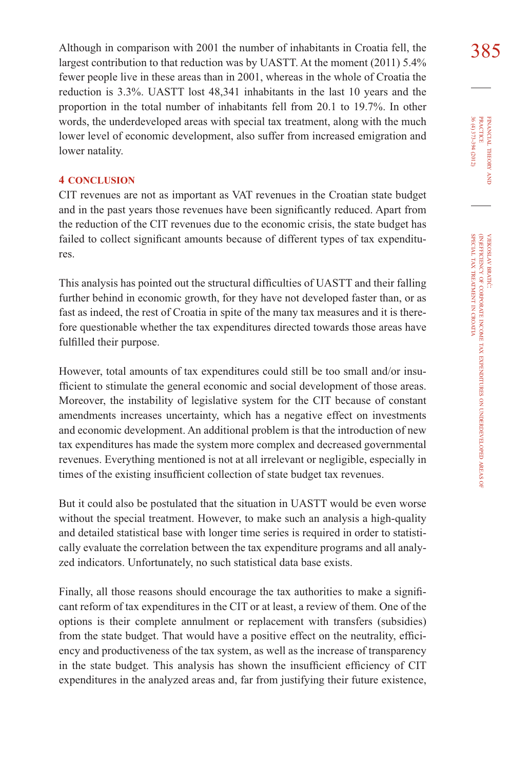Although in comparison with 2001 the number of inhabitants in Croatia fell, the 385 largest contribution to that reduction was by UASTT. At the moment (2011) 5.4% fewer people live in these areas than in 2001, whereas in the whole of Croatia the reduction is 3.3%. UASTT lost 48,341 inhabitants in the last 10 years and the proportion in the total number of inhabitants fell from 20.1 to 19.7%. In other words, the underdeveloped areas with special tax treatment, along with the much lower level of economic development, also suffer from increased emigration and lower natality.

#### **4 CONCLUSION**

CIT revenues are not as important as VAT revenues in the Croatian state budget and in the past years those revenues have been significantly reduced. Apart from the reduction of the CIT revenues due to the economic crisis, the state budget has failed to collect significant amounts because of different types of tax expenditures.

This analysis has pointed out the structural difficulties of UASTT and their falling further behind in economic growth, for they have not developed faster than, or as fast as indeed, the rest of Croatia in spite of the many tax measures and it is therefore questionable whether the tax expenditures directed towards those areas have fulfilled their purpose.

However, total amounts of tax expenditures could still be too small and/or insufficient to stimulate the general economic and social development of those areas. Moreover, the instability of legislative system for the CIT because of constant amendments increases uncertainty, which has a negative effect on investments and economic development. An additional problem is that the introduction of new tax expenditures has made the system more complex and decreased governmental revenues. Everything mentioned is not at all irrelevant or negligible, especially in times of the existing insufficient collection of state budget tax revenues.

But it could also be postulated that the situation in UASTT would be even worse without the special treatment. However, to make such an analysis a high-quality and detailed statistical base with longer time series is required in order to statistically evaluate the correlation between the tax expenditure programs and all analyzed indicators. Unfortunately, no such statistical data base exists.

Finally, all those reasons should encourage the tax authorities to make a significant reform of tax expenditures in the CIT or at least, a review of them. One of the options is their complete annulment or replacement with transfers (subsidies) from the state budget. That would have a positive effect on the neutrality, efficiency and productiveness of the tax system, as well as the increase of transparency in the state budget. This analysis has shown the insufficient efficiency of CIT expenditures in the analyzed areas and, far from justifying their future existence,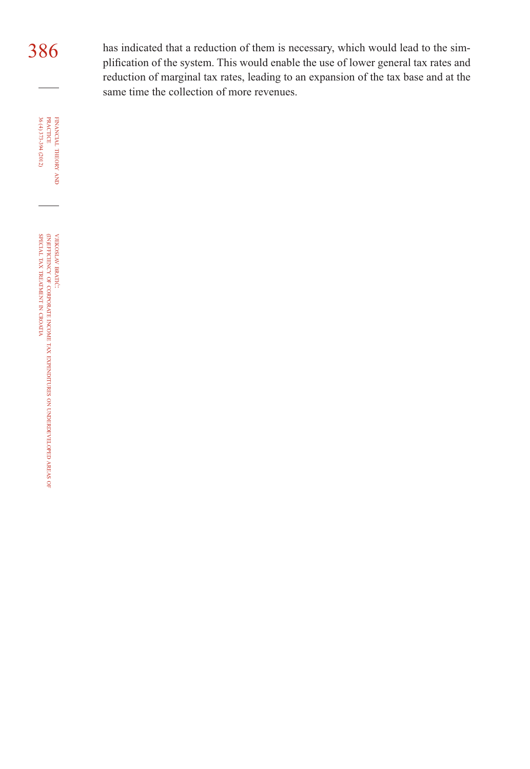$386$  has indicated that a reduction of them is necessary, which would lead to the simplification of the system. This would enable the use of lower general tax rates and reduction of marginal tax rates, leading to an expansion of the tax base and at the same time the collection of more revenues.

36 (4) 373-394 (2012) FINANCIAL THEORY AND PRACTICE 36 (4) 373-394 (2012) PRACTICE FINANCIAL THEORY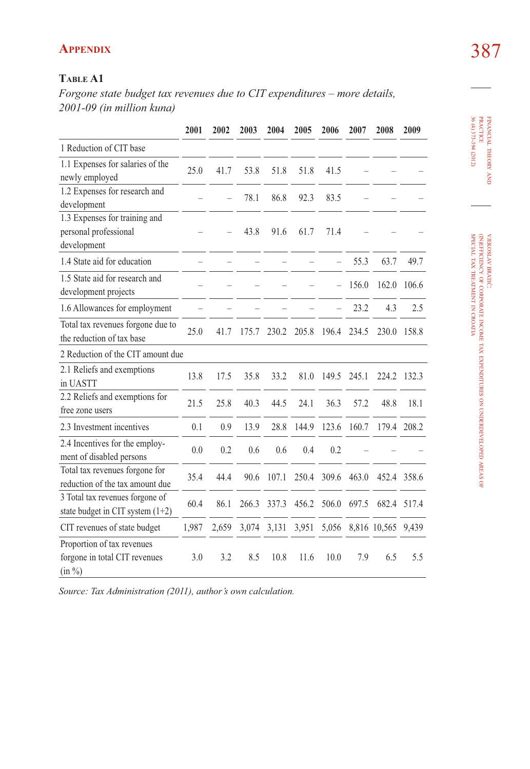# **APPENDIX** 387

## **TABLE A1**

*Forgone state budget tax revenues due to CIT expenditures – more details, 2001-09 (in million kuna)*

|                                                                       | 2001  | 2002  | 2003  | 2004  | 2005  | 2006  | 2007  | 2008         | 2009        |
|-----------------------------------------------------------------------|-------|-------|-------|-------|-------|-------|-------|--------------|-------------|
| 1 Reduction of CIT base                                               |       |       |       |       |       |       |       |              |             |
| 1.1 Expenses for salaries of the<br>newly employed                    | 25.0  | 41.7  | 53.8  | 51.8  | 51.8  | 41.5  |       |              |             |
| 1.2 Expenses for research and<br>development                          |       |       | 78.1  | 86.8  | 92.3  | 83.5  |       |              |             |
| 1.3 Expenses for training and<br>personal professional<br>development |       |       | 43.8  | 91.6  | 61.7  | 71.4  |       |              |             |
| 1.4 State aid for education                                           |       |       |       |       |       |       | 55.3  | 63.7         | 49.7        |
| 1.5 State aid for research and<br>development projects                |       |       |       |       |       |       | 156.0 | 162.0        | 106.6       |
| 1.6 Allowances for employment                                         |       |       |       |       |       |       | 23.2  | 4.3          | 2.5         |
| Total tax revenues forgone due to<br>the reduction of tax base        | 25.0  | 41.7  | 175.7 | 230.2 | 205.8 | 196.4 | 234.5 | 230.0        | 158.8       |
| 2 Reduction of the CIT amount due                                     |       |       |       |       |       |       |       |              |             |
| 2.1 Reliefs and exemptions<br>in UASTT                                | 13.8  | 17.5  | 35.8  | 33.2  | 81.0  | 149.5 | 245.1 | 224.2        | 132.3       |
| 2.2 Reliefs and exemptions for<br>free zone users                     | 21.5  | 25.8  | 40.3  | 44.5  | 24.1  | 36.3  | 57.2  | 48.8         | 18.1        |
| 2.3 Investment incentives                                             | 0.1   | 0.9   | 13.9  | 28.8  | 144.9 | 123.6 | 160.7 |              | 179.4 208.2 |
| 2.4 Incentives for the employ-<br>ment of disabled persons            | 0.0   | 0.2   | 0.6   | 0.6   | 0.4   | 0.2   |       |              |             |
| Total tax revenues forgone for<br>reduction of the tax amount due     | 35.4  | 44.4  | 90.6  | 107.1 | 250.4 | 309.6 | 463.0 | 452.4        | 358.6       |
| 3 Total tax revenues forgone of<br>state budget in CIT system $(1+2)$ | 60.4  | 86.1  | 266.3 | 337.3 | 456.2 | 506.0 | 697.5 | 682.4        | 517.4       |
| CIT revenues of state budget                                          | 1,987 | 2,659 | 3,074 | 3,131 | 3,951 | 5,056 |       | 8,816 10,565 | 9,439       |
| Proportion of tax revenues<br>forgone in total CIT revenues<br>(in %) | 3.0   | 3.2   | 8.5   | 10.8  | 11.6  | 10.0  | 7.9   | 6.5          | 5.5         |

*Source: Tax Administration (2011), author's own calculation.*

FINANCIAL

THEORY FINANCIAL THEORY AND PRACTICE<br>PRACTICE<br>36 (4) 373-394 (2012) 36 (4) 373-394 (2012) PRACTICE

VJEKOSLAV

(IN)EFFICIENCY

SPECIAL  $\mathbb Z$ 

TREATMENT Z CROATIA BRATIĆ: OF

CORPORATE

INCOME TAX

EXPENDITURES

ş

UNDERDEVELOPED

AREAS OF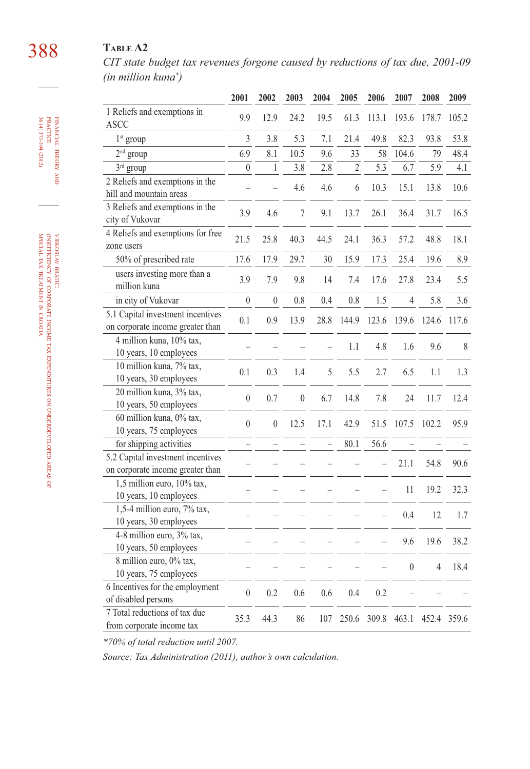# 388 **TABLE A2**

*CIT state budget tax revenues forgone caused by reductions of tax due, 2001-09 (in million kuna\* )*

|                                                                       | 2001             | 2002         | 2003             | 2004 | 2005           | 2006  | 2007             | 2008           | 2009        |
|-----------------------------------------------------------------------|------------------|--------------|------------------|------|----------------|-------|------------------|----------------|-------------|
| 1 Reliefs and exemptions in<br><b>ASCC</b>                            | 9.9              | 12.9         | 24.2             | 19.5 | 61.3           | 113.1 | 193.6            | 178.7          | 105.2       |
| 1 <sup>st</sup> group                                                 | 3                | 3.8          | 5.3              | 7.1  | 21.4           | 49.8  | 82.3             | 93.8           | 53.8        |
| $2nd$ group                                                           | 6.9              | 8.1          | 10.5             | 9.6  | 33             | 58    | 104.6            | 79             | 48.4        |
| 3rd group                                                             | $\mathbf{0}$     | $\mathbf{1}$ | 3.8              | 2.8  | $\overline{c}$ | 5.3   | 6.7              | 5.9            | 4.1         |
| 2 Reliefs and exemptions in the<br>hill and mountain areas            |                  |              | 4.6              | 4.6  | 6              | 10.3  | 15.1             | 13.8           | 10.6        |
| 3 Reliefs and exemptions in the<br>city of Vukovar                    | 3.9              | 4.6          | $\boldsymbol{7}$ | 9.1  | 13.7           | 26.1  | 36.4             | 31.7           | 16.5        |
| 4 Reliefs and exemptions for free<br>zone users                       | 21.5             | 25.8         | 40.3             | 44.5 | 24.1           | 36.3  | 57.2             | 48.8           | 18.1        |
| 50% of prescribed rate                                                | 17.6             | 17.9         | 29.7             | 30   | 15.9           | 17.3  | 25.4             | 19.6           | 8.9         |
| users investing more than a<br>million kuna                           | 3.9              | 7.9          | 9.8              | 14   | 7.4            | 17.6  | 27.8             | 23.4           | 5.5         |
| in city of Vukovar                                                    | $\overline{0}$   | $\mathbf{0}$ | 0.8              | 0.4  | 0.8            | 1.5   | $\overline{4}$   | 5.8            | 3.6         |
| 5.1 Capital investment incentives                                     | 0.1              | 0.9          | 13.9             | 28.8 | 144.9          | 123.6 | 139.6            | 124.6          | 117.6       |
| on corporate income greater than                                      |                  |              |                  |      |                |       |                  |                |             |
| 4 million kuna, 10% tax,<br>10 years, 10 employees                    |                  |              |                  |      | 1.1            | 4.8   | 1.6              | 9.6            | $\,$ $\,$   |
| 10 million kuna, 7% tax,<br>10 years, 30 employees                    | 0.1              | 0.3          | 1.4              | 5    | 5.5            | 2.7   | 6.5              | 1.1            | 1.3         |
| 20 million kuna, 3% tax,<br>10 years, 50 employees                    | $\mathbf{0}$     | 0.7          | $\overline{0}$   | 6.7  | 14.8           | 7.8   | 24               | 11.7           | 12.4        |
| 60 million kuna, 0% tax,<br>10 years, 75 employees                    | $\boldsymbol{0}$ | $\mathbf{0}$ | 12.5             | 17.1 | 42.9           | 51.5  | 107.5            | 102.2          | 95.9        |
| for shipping activities                                               |                  |              |                  |      | 80.1           | 56.6  |                  |                |             |
| 5.2 Capital investment incentives<br>on corporate income greater than |                  |              |                  |      |                |       | 21.1             | 54.8           | 90.6        |
| 1,5 million euro, 10% tax,<br>10 years, 10 employees                  |                  |              |                  |      |                |       | 11               | 19.2           | 32.3        |
| 1,5-4 million euro, 7% tax,<br>10 years, 30 employees                 |                  |              |                  |      |                |       | 0.4              | 12             | 1.7         |
| 4-8 million euro, 3% tax,<br>10 years, 50 employees                   |                  |              |                  |      |                |       | 9.6              | 19.6           | 38.2        |
| 8 million euro, 0% tax,<br>10 years, 75 employees                     |                  |              |                  |      |                |       | $\boldsymbol{0}$ | $\overline{4}$ | 18.4        |
| 6 Incentives for the employment<br>of disabled persons                | $\mathbf{0}$     | 0.2          | 0.6              | 0.6  | 0.4            | 0.2   |                  |                |             |
| 7 Total reductions of tax due<br>from corporate income tax            | 35.3             | 44.3         | 86               | 107  | 250.6          |       | 309.8 463.1      |                | 452.4 359.6 |

*\*70% of total reduction until 2007.* 

*Source: Tax Administration (2011), author's own calculation.*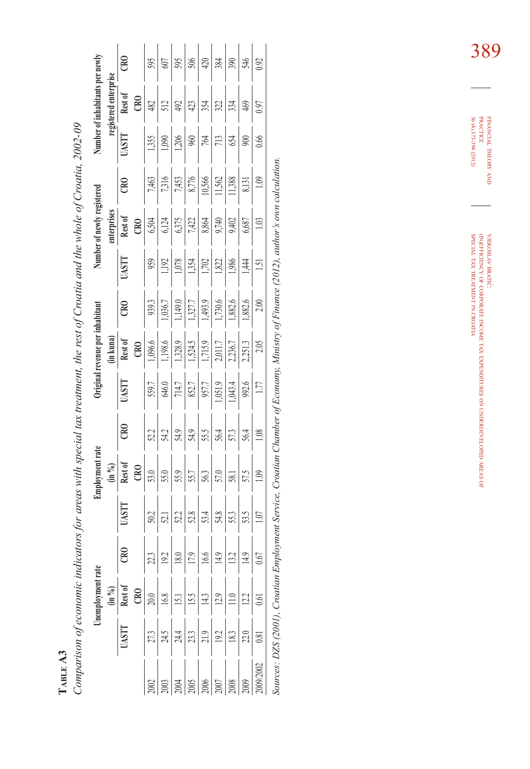Comparison of economic indicators for areas with special tax treatment, the rest of Croatia and the whole of Croatia, 2002-09 *Comparison of economic indicators for areas with special tax treatment, the rest of Croatia and the whole of Croatia, 2002-09*

|                                                                                                                           |                                                                                                                         | Unemployment rate                                                                                                                                                                                                                                                                                         |                                                                                                                      |                                                     | mployment rate                                                                                                                                                                                                                                                                                                                                                                                                                   |                                                                                                                                                                                                                                                                                                                                                                                              | Original <sub>1</sub>                                           | revenue per inhabitant                                                                                  |                                                                                                                                                                                        |                                                                                                         | Number of newly registered                                                                                    |                                                                                            |                                                                       | lumber of inhabitants per newly                                                                                        |                    |
|---------------------------------------------------------------------------------------------------------------------------|-------------------------------------------------------------------------------------------------------------------------|-----------------------------------------------------------------------------------------------------------------------------------------------------------------------------------------------------------------------------------------------------------------------------------------------------------|----------------------------------------------------------------------------------------------------------------------|-----------------------------------------------------|----------------------------------------------------------------------------------------------------------------------------------------------------------------------------------------------------------------------------------------------------------------------------------------------------------------------------------------------------------------------------------------------------------------------------------|----------------------------------------------------------------------------------------------------------------------------------------------------------------------------------------------------------------------------------------------------------------------------------------------------------------------------------------------------------------------------------------------|-----------------------------------------------------------------|---------------------------------------------------------------------------------------------------------|----------------------------------------------------------------------------------------------------------------------------------------------------------------------------------------|---------------------------------------------------------------------------------------------------------|---------------------------------------------------------------------------------------------------------------|--------------------------------------------------------------------------------------------|-----------------------------------------------------------------------|------------------------------------------------------------------------------------------------------------------------|--------------------|
|                                                                                                                           |                                                                                                                         | (in 96)                                                                                                                                                                                                                                                                                                   |                                                                                                                      |                                                     | $(\ln \frac{9}{6})$                                                                                                                                                                                                                                                                                                                                                                                                              |                                                                                                                                                                                                                                                                                                                                                                                              |                                                                 | (in kuna)                                                                                               |                                                                                                                                                                                        |                                                                                                         | mterprises                                                                                                    |                                                                                            |                                                                       | registered enterprise                                                                                                  |                    |
|                                                                                                                           | <b>UASTT</b>                                                                                                            | Rest of                                                                                                                                                                                                                                                                                                   | ළ                                                                                                                    | UASTT                                               | Rest of                                                                                                                                                                                                                                                                                                                                                                                                                          | $_{\rm CR0}$                                                                                                                                                                                                                                                                                                                                                                                 | <b>LISKI</b>                                                    | Rest of                                                                                                 | ඎ                                                                                                                                                                                      | <b>LISK</b> L                                                                                           | Rest of                                                                                                       | $\approx$                                                                                  | UASTT                                                                 | Rest of                                                                                                                | $_{\rm B}^{\rm O}$ |
|                                                                                                                           |                                                                                                                         |                                                                                                                                                                                                                                                                                                           |                                                                                                                      |                                                     |                                                                                                                                                                                                                                                                                                                                                                                                                                  |                                                                                                                                                                                                                                                                                                                                                                                              |                                                                 | CRO                                                                                                     |                                                                                                                                                                                        |                                                                                                         | $C$ RO                                                                                                        |                                                                                            |                                                                       | $\infty$                                                                                                               |                    |
|                                                                                                                           |                                                                                                                         |                                                                                                                                                                                                                                                                                                           |                                                                                                                      |                                                     | $\overline{53.0}$                                                                                                                                                                                                                                                                                                                                                                                                                |                                                                                                                                                                                                                                                                                                                                                                                              | 559.7                                                           |                                                                                                         |                                                                                                                                                                                        |                                                                                                         |                                                                                                               |                                                                                            |                                                                       |                                                                                                                        |                    |
|                                                                                                                           |                                                                                                                         |                                                                                                                                                                                                                                                                                                           |                                                                                                                      |                                                     |                                                                                                                                                                                                                                                                                                                                                                                                                                  |                                                                                                                                                                                                                                                                                                                                                                                              |                                                                 |                                                                                                         |                                                                                                                                                                                        |                                                                                                         |                                                                                                               |                                                                                            |                                                                       |                                                                                                                        |                    |
|                                                                                                                           |                                                                                                                         |                                                                                                                                                                                                                                                                                                           |                                                                                                                      |                                                     |                                                                                                                                                                                                                                                                                                                                                                                                                                  |                                                                                                                                                                                                                                                                                                                                                                                              |                                                                 |                                                                                                         |                                                                                                                                                                                        |                                                                                                         |                                                                                                               |                                                                                            |                                                                       |                                                                                                                        |                    |
|                                                                                                                           |                                                                                                                         |                                                                                                                                                                                                                                                                                                           |                                                                                                                      |                                                     |                                                                                                                                                                                                                                                                                                                                                                                                                                  |                                                                                                                                                                                                                                                                                                                                                                                              |                                                                 |                                                                                                         |                                                                                                                                                                                        |                                                                                                         |                                                                                                               |                                                                                            |                                                                       |                                                                                                                        |                    |
| $\begin{array}{ l l } \hline 2002\ \hline 2003\ \hline 2004\ \hline 2005\ \hline 20007\ \hline 20007\ \hline \end{array}$ |                                                                                                                         |                                                                                                                                                                                                                                                                                                           |                                                                                                                      | ន <mark>ាំដ</mark> ្ឋន <mark>ៃនាំងន</mark> ្ទាំងនាំ | $\frac{55}{55} \cdot \frac{1}{25} \cdot \frac{1}{25} \cdot \frac{1}{25} \cdot \frac{1}{25} \cdot \frac{1}{25} \cdot \frac{1}{25} \cdot \frac{1}{25} \cdot \frac{1}{25} \cdot \frac{1}{25} \cdot \frac{1}{25} \cdot \frac{1}{25} \cdot \frac{1}{25} \cdot \frac{1}{25} \cdot \frac{1}{25} \cdot \frac{1}{25} \cdot \frac{1}{25} \cdot \frac{1}{25} \cdot \frac{1}{25} \cdot \frac{1}{25} \cdot \frac{1}{25} \cdot \frac{1}{25} \$ | $\frac{52}{5} \frac{1}{4} \frac{1}{3} \frac{1}{4} \frac{1}{3} \frac{1}{5} \frac{1}{5} \frac{1}{5} \frac{1}{5} \frac{1}{5} \frac{1}{5} \frac{1}{5} \frac{1}{5} \frac{1}{5} \frac{1}{5} \frac{1}{5} \frac{1}{5} \frac{1}{5} \frac{1}{5} \frac{1}{5} \frac{1}{5} \frac{1}{5} \frac{1}{5} \frac{1}{5} \frac{1}{5} \frac{1}{5} \frac{1}{5} \frac{1}{5} \frac{1}{5} \frac{1}{5} \frac{1}{5} \frac$ | 646.0<br>714.7<br>852.7<br>957.7<br>1,043.4<br>1,043.4<br>992.6 |                                                                                                         | $\begin{array}{r l} 939.3 \\ \hline 1,036.7 \\ \hline 1,149.0 \\ \hline 1,149.0 \\ \hline 1,727.7 \\ \hline 1,739.6 \\ \hline 1,730.6 \\ \hline 1,882.6 \\ \hline 1,882.6 \end{array}$ | $\frac{959}{1,192}$ $\frac{1,192}{1,354}$ $\frac{1,354}{1,302}$ $\frac{1,82}{1,82}$ $\frac{1,84}{1,85}$ | $\frac{6,504}{6,124}$ $\frac{6,375}{6,375}$ $\frac{6,375}{1,422}$ $\frac{8,864}{8,864}$ $\frac{6,375}{6,687}$ | $\frac{7,463}{7,316}$ $\frac{8,776}{1,453}$ $\frac{8,776}{10,566}$ $\frac{11,562}{11,388}$ | $\frac{1,355}{1,206}$<br>$\frac{1,206}{1,206}$<br>$\frac{9,60}{7,64}$ | $rac{42}{12}$ $rac{1}{32}$ $rac{1}{42}$ $rac{1}{42}$ $rac{1}{52}$ $rac{1}{122}$ $rac{1}{52}$ $rac{1}{52}$ $rac{1}{52}$ |                    |
|                                                                                                                           |                                                                                                                         |                                                                                                                                                                                                                                                                                                           |                                                                                                                      |                                                     |                                                                                                                                                                                                                                                                                                                                                                                                                                  |                                                                                                                                                                                                                                                                                                                                                                                              |                                                                 |                                                                                                         |                                                                                                                                                                                        |                                                                                                         |                                                                                                               |                                                                                            |                                                                       |                                                                                                                        |                    |
|                                                                                                                           |                                                                                                                         |                                                                                                                                                                                                                                                                                                           |                                                                                                                      |                                                     |                                                                                                                                                                                                                                                                                                                                                                                                                                  |                                                                                                                                                                                                                                                                                                                                                                                              |                                                                 |                                                                                                         |                                                                                                                                                                                        |                                                                                                         |                                                                                                               |                                                                                            |                                                                       |                                                                                                                        |                    |
|                                                                                                                           | $\frac{27.3}{24.5}$ $\frac{14.5}{24.4}$ $\frac{24.4}{21.3}$ $\frac{19.2}{21.8}$ $\frac{19.2}{21.8}$ $\frac{18.3}{21.8}$ | $\frac{1}{\sqrt{2}}\left \frac{1}{\sqrt{2}}\left \frac{1}{\sqrt{2}}\right \right _2\left \frac{1}{\sqrt{2}}\right \right _2\left \frac{1}{\sqrt{2}}\right \left \frac{1}{\sqrt{2}}\right \right _2\left \frac{1}{\sqrt{2}}\right \left \frac{1}{\sqrt{2}}\right \left \frac{1}{\sqrt{2}}\right \right _2$ | $\frac{213}{920} \frac{19.0}{920} \frac{1}{120} \frac{19.0}{920} \frac{19.0}{920} \frac{19.0}{920} \frac{19.0}{920}$ |                                                     |                                                                                                                                                                                                                                                                                                                                                                                                                                  |                                                                                                                                                                                                                                                                                                                                                                                              |                                                                 | $\frac{1,086.6}{1,188.8}$ $\frac{1,328.9}{1,524.5}$ $\frac{1,328.9}{1,715.9}$ $\frac{1,715.9}{2,011.7}$ |                                                                                                                                                                                        |                                                                                                         |                                                                                                               | 8,131                                                                                      | 900                                                                   |                                                                                                                        |                    |
| 009/2002                                                                                                                  |                                                                                                                         |                                                                                                                                                                                                                                                                                                           |                                                                                                                      |                                                     | 1.09                                                                                                                                                                                                                                                                                                                                                                                                                             | 1.08                                                                                                                                                                                                                                                                                                                                                                                         | $1.77\,$                                                        | 2.05                                                                                                    | 2.00                                                                                                                                                                                   | 1.51                                                                                                    | $1.03$                                                                                                        | 1.09                                                                                       | 0.66                                                                  | 0.97                                                                                                                   |                    |

FINANCIAL FINANCIAL THEORY AND PRACTICE<br>PRACTICE<br>36 (4) 373-394 (2012) PRACTICE 389

THEORY

36 (4) 373-394 (2012)

VJEKOSLAV BRATIĆ: OF (IN)EFFICIENCY CORPORATE INCOME TAX EXPENDITURES ş UNDERDEVELOPED AREAS OF SPECIAL  $\mathbb Z$ TREATMENT Z CROATIA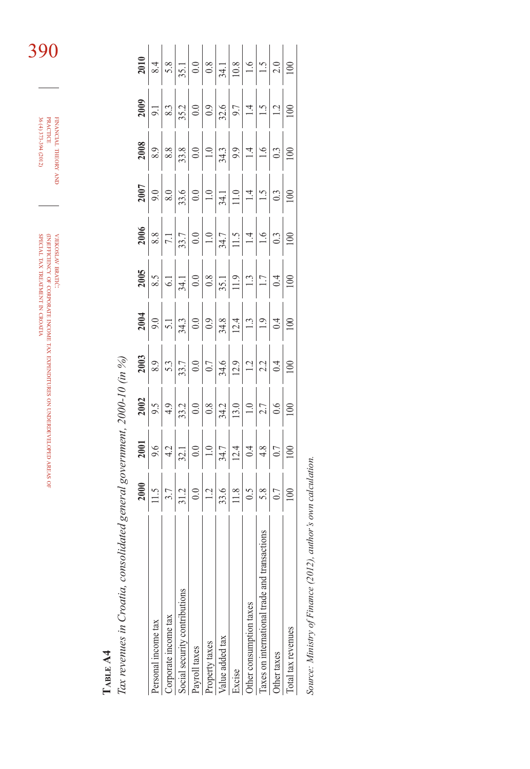| SPECIAL TAX TREATMENT IN CROATIA | BEFLUENCY OF CORRORATIVE STATE SON IN EXPENDITIONS ON THE CORROR SONG COLOUR CORROR | VJEKOSLAV BRATIC: |
|----------------------------------|-------------------------------------------------------------------------------------|-------------------|

FINANCIAL THEORY FINANCIAL THEORY AND PRACTICE<br>PRACTICE<br>36 (4) 373-394 (2012) 36 (4) 373-394 (2012) PRACTICE

390

TABLE A4 **TABLE A4**

Tax revenues in Croatia, consolidated general government, 2000-10 (in %) *Tax revenues in Croatia, consolidated general government, 2000-10 (in %)*

| ersonal income tax                                                                                                                                                                                                                                                                                                                                                                                                                                             |                                                                                                                                                                                                                                                                                                                                                                                                                                       |                                                                                                                                                                                                                                                   |                                                                                                                                                                                                                                                                      |  |                                                                                                                                                                                                                       |                                                                                                                                                                                                                                                      |  |                                                                                                                                                                                                                                                                                                                                                                                                                                                                                       |                   |
|----------------------------------------------------------------------------------------------------------------------------------------------------------------------------------------------------------------------------------------------------------------------------------------------------------------------------------------------------------------------------------------------------------------------------------------------------------------|---------------------------------------------------------------------------------------------------------------------------------------------------------------------------------------------------------------------------------------------------------------------------------------------------------------------------------------------------------------------------------------------------------------------------------------|---------------------------------------------------------------------------------------------------------------------------------------------------------------------------------------------------------------------------------------------------|----------------------------------------------------------------------------------------------------------------------------------------------------------------------------------------------------------------------------------------------------------------------|--|-----------------------------------------------------------------------------------------------------------------------------------------------------------------------------------------------------------------------|------------------------------------------------------------------------------------------------------------------------------------------------------------------------------------------------------------------------------------------------------|--|---------------------------------------------------------------------------------------------------------------------------------------------------------------------------------------------------------------------------------------------------------------------------------------------------------------------------------------------------------------------------------------------------------------------------------------------------------------------------------------|-------------------|
| corporate income tax                                                                                                                                                                                                                                                                                                                                                                                                                                           |                                                                                                                                                                                                                                                                                                                                                                                                                                       |                                                                                                                                                                                                                                                   |                                                                                                                                                                                                                                                                      |  |                                                                                                                                                                                                                       |                                                                                                                                                                                                                                                      |  |                                                                                                                                                                                                                                                                                                                                                                                                                                                                                       |                   |
| ocial security contributions                                                                                                                                                                                                                                                                                                                                                                                                                                   | $\frac{2000}{\frac{11.5}{\frac{3}{12}}\left \frac{1}{2}\right  \frac{1}{2}} \cdot \frac{1}{\frac{3}{12}} \cdot \frac{1}{\frac{3}{12}} \cdot \frac{1}{\frac{3}{12}} \cdot \frac{1}{\frac{3}{12}} \cdot \frac{1}{\frac{3}{12}} \cdot \frac{1}{\frac{3}{12}} \cdot \frac{1}{\frac{3}{12}} \cdot \frac{1}{\frac{3}{12}} \cdot \frac{1}{\frac{3}{12}} \cdot \frac{1}{\frac{3}{12}} \cdot \frac{1}{\frac{3}{12}} \cdot \frac{1}{\frac{3}{1$ | $\frac{2001}{9.6}$ $\frac{9.6}{12.1}$ $\frac{1}{21.1}$ $\frac{1}{21.1}$ $\frac{1}{21.1}$ $\frac{1}{21.1}$ $\frac{1}{21.1}$ $\frac{1}{21.1}$ $\frac{1}{21.1}$ $\frac{1}{21.1}$ $\frac{1}{21.1}$ $\frac{1}{21.1}$ $\frac{1}{21.1}$ $\frac{1}{21.1}$ | $\frac{2002}{9.5}$ $\frac{9.5}{4.3}$ $\frac{1}{3.3}$ $\frac{1}{2.5}$ $\frac{1}{2.5}$ $\frac{1}{2.5}$ $\frac{1}{2.5}$ $\frac{1}{2.5}$ $\frac{1}{2.5}$ $\frac{1}{2.5}$ $\frac{1}{2.5}$ $\frac{1}{2.5}$ $\frac{1}{2.5}$ $\frac{1}{2.5}$ $\frac{1}{2.5}$ $\frac{1}{2.5}$ |  | $\frac{2065}{8!5}$ $\frac{20}{9}$ $\frac{20}{9}$ $\frac{20}{9}$ $\frac{20}{9}$ $\frac{20}{9}$ $\frac{20}{9}$ $\frac{20}{9}$ $\frac{20}{9}$ $\frac{20}{9}$ $\frac{20}{9}$ $\frac{20}{9}$ $\frac{20}{9}$ $\frac{20}{9}$ | $\frac{2006}{8.8}$ $\frac{8.8}{7.1}$ $\frac{1}{7.1}$ $\frac{1}{3.3}$ $\frac{1}{3.4}$ $\frac{1}{7.1}$ $\frac{1}{1.1}$ $\frac{1}{1.1}$ $\frac{1}{1.1}$ $\frac{1}{1.1}$ $\frac{1}{1.1}$ $\frac{1}{1.1}$ $\frac{1}{1.1}$ $\frac{1}{1.1}$ $\frac{1}{1.1}$ |  | $\frac{200}{\frac{9}{10}}\left \frac{1}{3}\right _{3}\left \frac{1}{3}\right _{3}\left \frac{1}{3}\right _{3}\left \frac{1}{3}\right _{3}\left \frac{1}{3}\right _{3}\left \frac{1}{3}\right _{1}\left \frac{1}{3}\right _{1}\left \frac{1}{3}\right _{1}\left \frac{1}{3}\right _{1}\left \frac{1}{3}\right _{1}\left \frac{1}{3}\right _{1}\left \frac{1}{3}\right _{1}\left \frac{1}{3}\right _{1}\left \frac{1}{3}\right _{1}\left \frac{1}{3}\right _{1}\left \frac{1}{3}\right$ | $\frac{2010}{81}$ |
| ayroll taxes                                                                                                                                                                                                                                                                                                                                                                                                                                                   |                                                                                                                                                                                                                                                                                                                                                                                                                                       |                                                                                                                                                                                                                                                   |                                                                                                                                                                                                                                                                      |  |                                                                                                                                                                                                                       |                                                                                                                                                                                                                                                      |  |                                                                                                                                                                                                                                                                                                                                                                                                                                                                                       |                   |
| roperty taxes                                                                                                                                                                                                                                                                                                                                                                                                                                                  |                                                                                                                                                                                                                                                                                                                                                                                                                                       |                                                                                                                                                                                                                                                   |                                                                                                                                                                                                                                                                      |  |                                                                                                                                                                                                                       |                                                                                                                                                                                                                                                      |  |                                                                                                                                                                                                                                                                                                                                                                                                                                                                                       |                   |
| alue added tax                                                                                                                                                                                                                                                                                                                                                                                                                                                 |                                                                                                                                                                                                                                                                                                                                                                                                                                       |                                                                                                                                                                                                                                                   |                                                                                                                                                                                                                                                                      |  |                                                                                                                                                                                                                       |                                                                                                                                                                                                                                                      |  |                                                                                                                                                                                                                                                                                                                                                                                                                                                                                       |                   |
| $\begin{minipage}{.4\linewidth} \centering \begin{tabular}{ l l l } \hline \multicolumn{3}{ l l } \hline \multicolumn{3}{ l } \multicolumn{3}{ l } \multicolumn{3}{ l } \multicolumn{3}{ l } \multicolumn{3}{ l } \multicolumn{3}{ l } \multicolumn{3}{ l } \multicolumn{3}{ l } \multicolumn{3}{ l } \multicolumn{3}{ l } \multicolumn{3}{ l } \multicolumn{3}{ l } \multicolumn{3}{ l } \multicolumn{3}{ l } \multicolumn{3}{ l } \multicolumn{3}{$<br>xcise |                                                                                                                                                                                                                                                                                                                                                                                                                                       |                                                                                                                                                                                                                                                   |                                                                                                                                                                                                                                                                      |  |                                                                                                                                                                                                                       |                                                                                                                                                                                                                                                      |  |                                                                                                                                                                                                                                                                                                                                                                                                                                                                                       |                   |
| ther consumption taxes                                                                                                                                                                                                                                                                                                                                                                                                                                         |                                                                                                                                                                                                                                                                                                                                                                                                                                       |                                                                                                                                                                                                                                                   |                                                                                                                                                                                                                                                                      |  |                                                                                                                                                                                                                       |                                                                                                                                                                                                                                                      |  |                                                                                                                                                                                                                                                                                                                                                                                                                                                                                       |                   |
| axes on international trade and transact                                                                                                                                                                                                                                                                                                                                                                                                                       |                                                                                                                                                                                                                                                                                                                                                                                                                                       |                                                                                                                                                                                                                                                   |                                                                                                                                                                                                                                                                      |  |                                                                                                                                                                                                                       |                                                                                                                                                                                                                                                      |  |                                                                                                                                                                                                                                                                                                                                                                                                                                                                                       |                   |
| )ther taxes                                                                                                                                                                                                                                                                                                                                                                                                                                                    |                                                                                                                                                                                                                                                                                                                                                                                                                                       |                                                                                                                                                                                                                                                   |                                                                                                                                                                                                                                                                      |  |                                                                                                                                                                                                                       |                                                                                                                                                                                                                                                      |  |                                                                                                                                                                                                                                                                                                                                                                                                                                                                                       |                   |
| otal tax revenues                                                                                                                                                                                                                                                                                                                                                                                                                                              |                                                                                                                                                                                                                                                                                                                                                                                                                                       |                                                                                                                                                                                                                                                   |                                                                                                                                                                                                                                                                      |  |                                                                                                                                                                                                                       |                                                                                                                                                                                                                                                      |  |                                                                                                                                                                                                                                                                                                                                                                                                                                                                                       |                   |
|                                                                                                                                                                                                                                                                                                                                                                                                                                                                |                                                                                                                                                                                                                                                                                                                                                                                                                                       |                                                                                                                                                                                                                                                   |                                                                                                                                                                                                                                                                      |  |                                                                                                                                                                                                                       |                                                                                                                                                                                                                                                      |  |                                                                                                                                                                                                                                                                                                                                                                                                                                                                                       |                   |

Source: Ministry of Finance (2012), author's own calculation. *Source: Ministry of Finance (2012), author's own calculation.*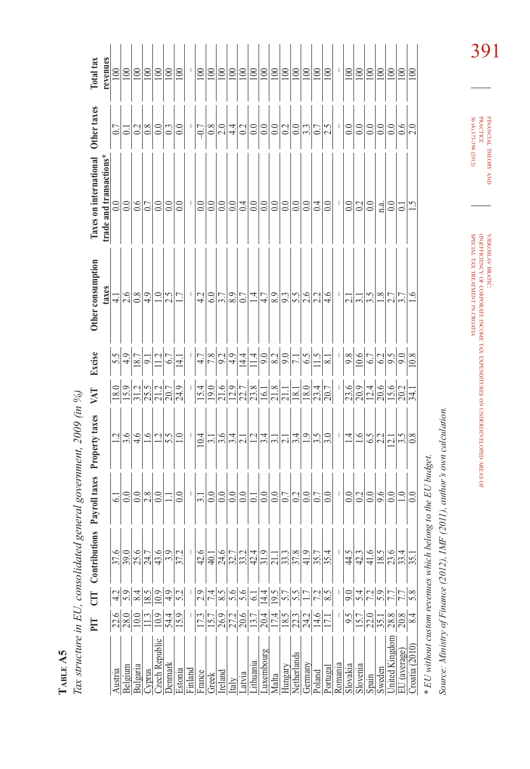| 1<br>r<br>J. |  |
|--------------|--|
| c            |  |
| ć            |  |

Tax structure in EU, consolidated general government, 2009 (in %) *Tax structure in EU, consolidated general government, 2009 (in %)*

|                                    | PIT                                        | E                | utions<br>Contribu  | Payroll taxes           | Property taxes   | VAT                          | Excise                                 | Other consumption                         | <b>Taxes on international</b> | Other taxes               | Total tax          |
|------------------------------------|--------------------------------------------|------------------|---------------------|-------------------------|------------------|------------------------------|----------------------------------------|-------------------------------------------|-------------------------------|---------------------------|--------------------|
|                                    |                                            |                  |                     |                         |                  |                              |                                        | taxes                                     | trade and transactions*       |                           | revenues           |
| Austria                            |                                            | 4.2              | 37.6                | 5                       |                  |                              | $\frac{15}{25}$                        |                                           | 0.0                           | 0.7                       | 100                |
| Belgium                            | $\frac{216}{280}$                          | 5.9              |                     | 0.0                     | 3.6              |                              |                                        | $\frac{1}{4}$ $\frac{1}{2}$ $\frac{1}{2}$ | 0.0                           | $ \overline{\mathsf{c}} $ | $100\,$            |
| Bulgaria                           |                                            | 8.4              |                     |                         | 4.6              |                              | $\overline{\underline{18.7}}$          |                                           | $\frac{6}{6}$                 | 0.2                       | 100                |
| Cyprus                             | $\frac{13}{2}$                             | 8.5              | $\frac{996}{217}$   | $rac{0}{28}$            | $\frac{6}{1}$    |                              | $\overline{5}$                         | $\overline{4.9}$                          |                               | $\overline{0.8}$          | $ \Xi$             |
| Czech Republic                     | 10.9                                       | $\overline{0.9}$ | 43.6                | 0.0                     | 1.2              | ခြာမျှပါပါ<br>ခြာမျှအမြေမြန် |                                        | $\overline{1.0}$                          | $\overline{0.0}$              | $\overline{0.0}$          | 100                |
| Denmarl                            | 54.4                                       | 4.9              | $\tilde{\cdot}$     | Ξ                       | 5.5              |                              | 6.7                                    | $\overline{2.5}$                          | 0.0                           | 0.3                       | 100                |
| Estonia                            | $\overline{15.9}$                          | 5.2              | $\frac{372}{ }$     | 0.0                     | $\overline{1.0}$ |                              | 14.1                                   | $\overline{11}$                           | 0.0                           | $\overline{0.0}$          | $\geq$             |
| Finland                            |                                            |                  |                     | $\mathbf{I}$            | L                | $\mid$                       |                                        | $\mathbf{I}$                              | $\perp$                       | $\frac{1}{2}$             | $\mathbf{I}$       |
| France                             | 17.3                                       | 2.9              | 42.6                | 3.1                     | 10.4             | 15.4                         | 4.7                                    | 4.2                                       | 0.0                           | $-0.7$                    | 100                |
| Greek                              |                                            | 7.4              | 40.1                | 0.0                     | $\overline{31}$  |                              | $\frac{7.8}{9.2}$                      |                                           | 0.0                           | 0.8                       | 100                |
| Ireland                            |                                            | 8.5              | 24.6                | 0.0                     | 3.6              | $\frac{19.0}{21.6}$          |                                        | 6.0                                       | 0.0                           | 2.0                       | $\geq$             |
| Italy                              |                                            | $\overline{5.6}$ |                     | $0.0\,$                 | 3.4              |                              | $\frac{4.9}{ }$                        | 8.9                                       | $0.0\,$                       | 4.4                       | 100                |
| Latvia                             | $\frac{15.7}{26.9}$<br>$\frac{27.2}{20.6}$ | 5.6              | $\frac{5.7}{3.24}$  | 0.0                     | $\overline{c}$   | $\frac{12.9}{22.8}$          | 14.4                                   | 0.7                                       | 0.4                           | 0.2                       | 100                |
| Lithuania                          |                                            | $\overline{61}$  |                     | $\overline{\circ}$      | $\overline{12}$  |                              | 1.4                                    | $\vec{A}$                                 | 0.0                           | 0.0                       | $\geq$             |
| Luxembourg                         |                                            | 14.4             |                     | 0.0                     | 3.4              |                              |                                        |                                           | 0.0                           | $0.0\,$                   | 100                |
| Malta                              | $\frac{2 7 4 }{ 7 8 2 3 4 }$               | 19.5             | $rac{3}{211}$       | $0.0\,$                 | $\overline{3.1}$ | $\frac{16.1}{21.8}$          | $rac{1}{28}$ $rac{1}{25}$ $rac{1}{21}$ |                                           | $0.0\,$                       | $\overline{0.0}$          | 100                |
| Hungary                            |                                            | $\overline{5.7}$ | $\frac{33.3}{37.8}$ | 0.7                     | $\overline{21}$  |                              |                                        |                                           | $0.0\,$                       | 0.2                       | $\boxed{00}$       |
| Netherlands                        |                                            |                  |                     | 0.2                     | 3.4              |                              |                                        |                                           | 0.0                           | 0.0                       | $\approx$          |
| Germany                            |                                            |                  |                     | $\overline{0.0}$        | $\overline{0}$   |                              | $\frac{6.5}{2}$                        |                                           | $\overline{0.0}$              | $\overline{33}$           | $\trianglerighteq$ |
| Poland                             | 14.6                                       | 55/2             | $rac{35}{41.9}$     | 0.7                     | 3.5              | $\frac{1129947}{212924}$     | $\frac{15}{1}$                         | 422224                                    | 0.4                           | 0.7                       | 100                |
| Portugal                           | $\overline{171}$                           |                  |                     | 0.0                     | 3.0              |                              | 8.1                                    | 4.6                                       | 0.0                           | $\overline{2.5}$          | $\geq$             |
| Romania                            |                                            |                  |                     | J.                      | T                | $\mathsf{I}$                 | $\mid$                                 | $\mathbf{I}$                              | $\mathbf{I}$                  | I                         | J,                 |
| Slovakia                           | 9.5                                        | 9.0              | $rac{4}{3}$         | 0.0                     | $\vec{=}$        |                              | 9.8                                    |                                           | 0.0                           | 0.0                       | 100                |
| Slovenia                           | $\frac{15.7}{22.0}$                        | 5.4              | 42.3                | 0.2                     |                  | $\frac{ S }{ S }$            | 10.6                                   | $\frac{1}{2}$                             | 0.2                           | $\ddot{\circ}$            | $\approx$          |
| Spain                              |                                            | 7.2              | $rac{6}{41}$        | 0.0                     | 6.5              |                              | $6.7\,$                                | 3.5                                       | 0.0                           | 0.0                       | $\geq$             |
| Sweden                             | $\overline{35}$ .                          | 5.9              | 18.5                | 9.6                     | 2.2              | $\frac{20.6}{15.6}$          | 6.2                                    | $\frac{8}{1}$                             | n.a.                          | 0.0                       | $\approx$          |
| United Kingdom                     | 28.8                                       | $\overline{7.7}$ | 23.6                | 0.0                     | $\overline{\Xi}$ |                              | 9.5                                    | 2.7                                       | 0.0                           | 0.0                       | 100                |
| EU (average)                       | 20.8                                       | 7.7              | $\frac{33.4}{35.1}$ | $\overline{1.0}$        | 3.5              |                              | 9.0                                    | 3.7                                       | Ò.                            | 0.6                       | $\Xi$              |
| Croatia (2010)                     | 8.4                                        | 5.8              |                     | 0.0                     | 0.8              | 34.1                         | 10.8                                   | $\tilde{\varepsilon}$                     | $\tilde{\mathbf{C}}$          | 2.0                       | 100                |
| * EU without custom revenues which |                                            |                  |                     | belong to the EU budget |                  |                              |                                        |                                           |                               |                           |                    |

Source: Ministry of Finance (2012), IMF (2011), author's own calculation. *Source: Ministry of Finance (2012), IMF (2011), author's own calculation.*

FINANCIAL THEORY FINANCIAL THEORY AND PRACTICE<br>PRACTICE<br>36 (4) 373-394 (2012) 36 (4) 373-394 (2012) PRACTICE

VJEKOSLAV

(IN)EFFICIENCY

SPECIAL  $\mathbb Z$ 

TREATMENT Z CROATIA BRATIĆ: OF

CORPORATE

INCOME TAX

EXPENDITURES

ş

UNDERDEVELOPED

AREAS OF

391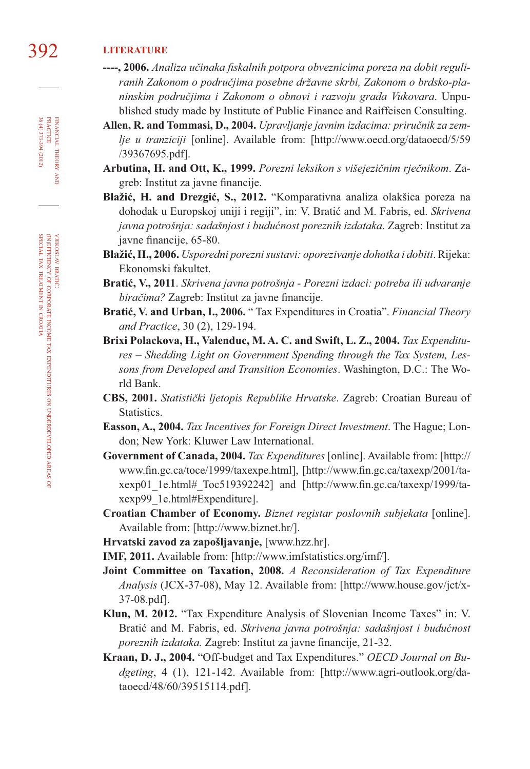## 392 **LITERATURE**

- ----, 2006. Analiza učinaka fiskalnih potpora obveznicima poreza na dobit reguli*ranih Zakonom o područjima posebne državne skrbi, Zakonom o brdsko-planinskim područjima i Zakonom o obnovi i razvoju grada Vukovara*. Unpublished study made by Institute of Public Finance and Raiffeisen Consulting.
- **Allen, R. and Tommasi, D., 2004.** *Upravljanje javnim izdacima: priručnik za zemlje u tranziciji* [online]. Available from: [http://www.oecd.org/dataoecd/5/59 /39367695.pdf].
- **Arbutina, H. and Ott, K., 1999.** *Porezni leksikon s višejezičnim rječnikom*. Zagreb: Institut za javne financije.
- **Blažić, H. and Drezgić, S., 2012.** "Komparativna analiza olakšica poreza na dohodak u Europskoj uniji i regiji", in: V. Bratić and M. Fabris, ed. *Skrivena javna potrošnja: sadašnjost i budućnost poreznih izdataka*. Zagreb: Institut za javne financije, 65-80.
- **Blažić, H., 2006.** *Usporedni porezni sustavi: oporezivanje dohotka i dobiti*. Rijeka: Ekonomski fakultet.
- **Bratić, V., 2011**. *Skrivena javna potrošnja Porezni izdaci: potreba ili udvaranje biračima?* Zagreb: Institut za javne financije.
- **Bratić, V. and Urban, I., 2006.** " Tax Expenditures in Croatia". *Financial Theory and Practice*, 30 (2), 129-194.
- **Brixi Polackova, H., Valenduc, M. A. C. and Swift, L. Z., 2004.** *Tax Expenditures – Shedding Light on Government Spending through the Tax System, Lessons from Developed and Transition Economies*. Washington, D.C.: The World Bank.
- **CBS, 2001.** *Statistički ljetopis Republike Hrvatske*. Zagreb: Croatian Bureau of Statistics.
- **Easson, A., 2004.** *Tax Incentives for Foreign Direct Investment*. The Hague; London; New York: Kluwer Law International.
- **Government of Canada, 2004.** *Tax Expenditures* [online]. Available from: [http:// www.fin.gc.ca/toce/1999/taxexpe.html], [http://www.fin.gc.ca/taxexp/2001/taxexp01\_1e.html#\_Toc519392242] and [http://www.fin.gc.ca/taxexp/1999/taxexp99\_1e.html#Expenditure].
- **Croatian Chamber of Economy.** *Biznet registar poslovnih subjekata* [online]. Available from: [http://www.biznet.hr/].
- **Hrvatski zavod za zapošljavanje,** [www.hzz.hr].
- **IMF, 2011.** Available from: [http://www.imfstatistics.org/imf/].
- **Joint Committee on Taxation, 2008.** *A Reconsideration of Tax Expenditure Analysis* (JCX-37-08), May 12. Available from: [http://www.house.gov/jct/x-37-08.pdf].
- **Klun, M. 2012.** "Tax Expenditure Analysis of Slovenian Income Taxes" in: V. Bratić and M. Fabris, ed. *Skrivena javna potrošnja: sadašnjost i budućnost*  poreznih izdataka. Zagreb: Institut za javne financije, 21-32.
- **Kraan, D. J., 2004.** "Off-budget and Tax Expenditures." *OECD Journal on Budgeting*, 4 (1), 121-142. Available from: [http://www.agri-outlook.org/dataoecd/48/60/39515114.pdf].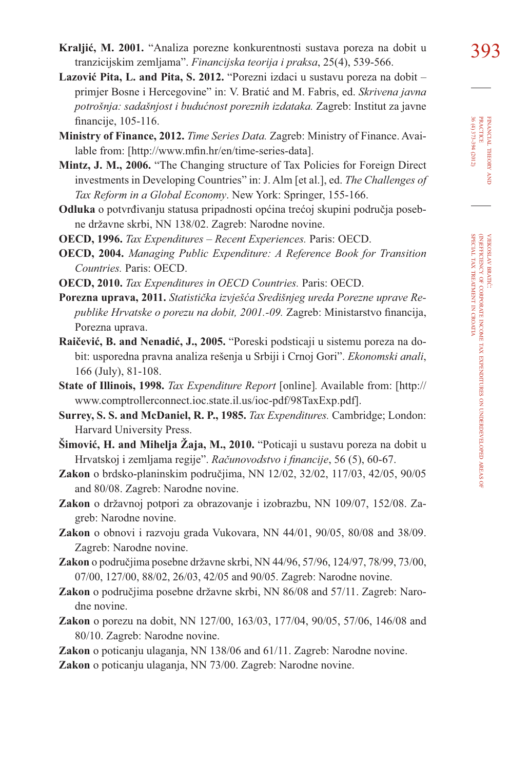- **Lazović Pita, L. and Pita, S. 2012.** "Porezni izdaci u sustavu poreza na dobit primjer Bosne i Hercegovine" in: V. Bratić and M. Fabris, ed. *Skrivena javna potrošnja: sadašnjost i budućnost poreznih izdataka.* Zagreb: Institut za javne financije, 105-116.
- **Ministry of Finance, 2012.** *Time Series Data.* Zagreb: Ministry of Finance. Available from: [http://www.mfin.hr/en/time-series-data].
- **Mintz, J. M., 2006.** "The Changing structure of Tax Policies for Foreign Direct investments in Developing Countries" in: J. Alm [et al.], ed. *The Challenges of Tax Reform in a Global Economy*. New York: Springer, 155-166.
- **Odluka** o potvrđivanju statusa pripadnosti općina trećoj skupini područja posebne državne skrbi, NN 138/02. Zagreb: Narodne novine.
- **OECD, 1996.** *Tax Expenditures Recent Experiences.* Paris: OECD.
- **OECD, 2004.** *Managing Public Expenditure: A Reference Book for Transition Countries.* Paris: OECD.
- **OECD, 2010.** *Tax Expenditures in OECD Countries.* Paris: OECD.
- **Porezna uprava, 2011.** *Statistička izvješća Središnjeg ureda Porezne uprave Re*publike Hrvatske o porezu na dobit, 2001.-09. Zagreb: Ministarstvo financija, Porezna uprava.
- **Raičević, B. and Nenadić, J., 2005.** "Poreski podsticaji u sistemu poreza na dobit: usporedna pravna analiza rešenja u Srbiji i Crnoj Gori". *Ekonomski anali*, 166 (July), 81-108.
- **State of Illinois, 1998.** *Tax Expenditure Report* [online]*.* Available from: [http:// www.comptrollerconnect.ioc.state.il.us/ioc-pdf/98TaxExp.pdf].
- **Surrey, S. S. and McDaniel, R. P., 1985.** *Tax Expenditures.* Cambridge; London: Harvard University Press.
- **Šimović, H. and Mihelja Žaja, M., 2010.** "Poticaji u sustavu poreza na dobit u Hrvatskoj i zemljama regije". *Računovodstvo i financije*, 56 (5), 60-67.
- **Zakon** o brdsko-planinskim područjima, NN 12/02, 32/02, 117/03, 42/05, 90/05 and 80/08. Zagreb: Narodne novine.
- **Zakon** o državnoj potpori za obrazovanje i izobrazbu, NN 109/07, 152/08. Zagreb: Narodne novine.
- **Zakon** o obnovi i razvoju grada Vukovara, NN 44/01, 90/05, 80/08 and 38/09. Zagreb: Narodne novine.
- **Zakon** o područjima posebne državne skrbi, NN 44/96, 57/96, 124/97, 78/99, 73/00, 07/00, 127/00, 88/02, 26/03, 42/05 and 90/05. Zagreb: Narodne novine.
- **Zakon** o područjima posebne državne skrbi, NN 86/08 and 57/11. Zagreb: Narodne novine.
- **Zakon** o porezu na dobit, NN 127/00, 163/03, 177/04, 90/05, 57/06, 146/08 and 80/10. Zagreb: Narodne novine.
- **Zakon** o poticanju ulaganja, NN 138/06 and 61/11. Zagreb: Narodne novine.
- **Zakon** o poticanju ulaganja, NN 73/00. Zagreb: Narodne novine.

FINANCIAL THEORY FINANCIAL THEORY AND PRACTICE<br>PRACTICE<br>36 (4) 373-394 (2012) 36 (4) 373-394 (2012) PRACTICE